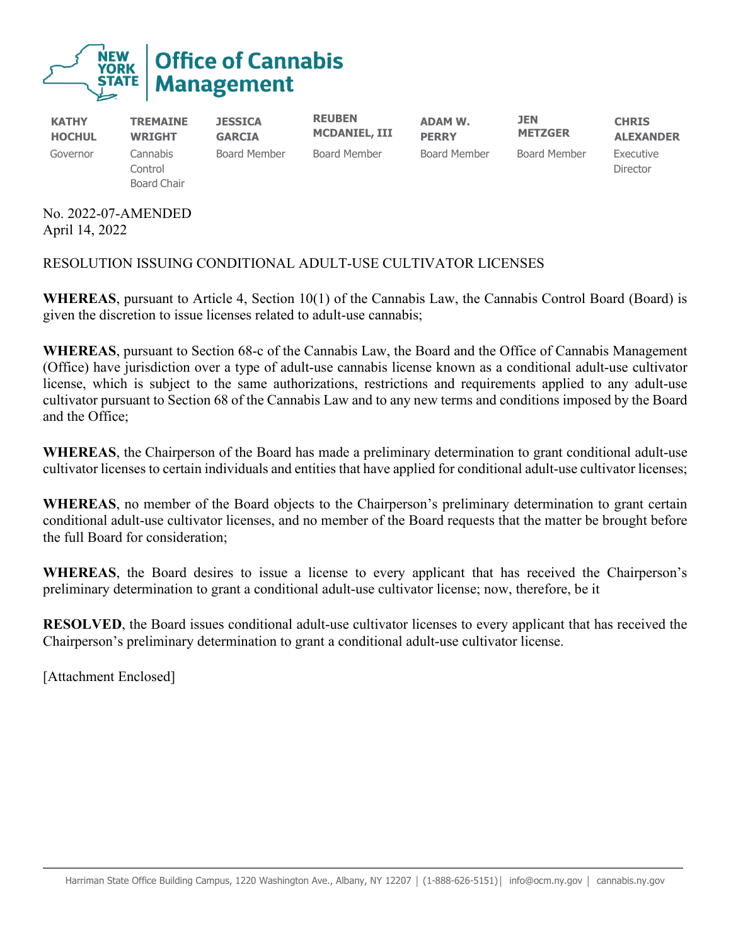

**KATHY HOCHUL TREMAINE WRIGHT JESSICA GARCIA REUBEN MCDANIEL, III ADAM W. PERRY JEN METZGER CHRIS ALEXANDER** Governor Cannabis **Control** Board Chair Board Member Board Member Board Member Board Member Executive Director

No. 2022-07-AMENDED April 14, 2022

## RESOLUTION ISSUING CONDITIONAL ADULT-USE CULTIVATOR LICENSES

**WHEREAS**, pursuant to Article 4, Section 10(1) of the Cannabis Law, the Cannabis Control Board (Board) is given the discretion to issue licenses related to adult-use cannabis;

**WHEREAS**, pursuant to Section 68-c of the Cannabis Law, the Board and the Office of Cannabis Management (Office) have jurisdiction over a type of adult-use cannabis license known as a conditional adult-use cultivator license, which is subject to the same authorizations, restrictions and requirements applied to any adult-use cultivator pursuant to Section 68 of the Cannabis Law and to any new terms and conditions imposed by the Board and the Office;

**WHEREAS**, the Chairperson of the Board has made a preliminary determination to grant conditional adult-use cultivator licenses to certain individuals and entities that have applied for conditional adult-use cultivator licenses;

**WHEREAS**, no member of the Board objects to the Chairperson's preliminary determination to grant certain conditional adult-use cultivator licenses, and no member of the Board requests that the matter be brought before the full Board for consideration;

**WHEREAS**, the Board desires to issue a license to every applicant that has received the Chairperson's preliminary determination to grant a conditional adult-use cultivator license; now, therefore, be it

**RESOLVED**, the Board issues conditional adult-use cultivator licenses to every applicant that has received the Chairperson's preliminary determination to grant a conditional adult-use cultivator license.

[Attachment Enclosed]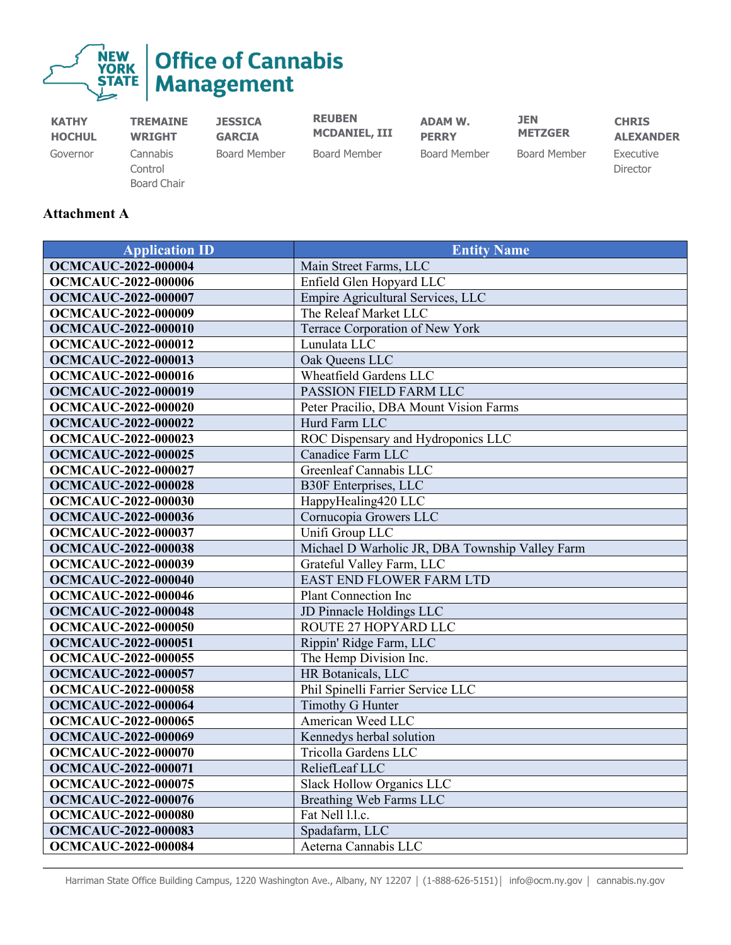

| <b>KATHY</b>  | <b>TREMAINE</b>                    | <b>JESSICA</b> | <b>REUBEN</b>        | <b>ADAM W.</b> | <b>JEN</b>     | <b>CHRIS</b>          |
|---------------|------------------------------------|----------------|----------------------|----------------|----------------|-----------------------|
| <b>HOCHUL</b> | <b>WRIGHT</b>                      | <b>GARCIA</b>  | <b>MCDANIEL, III</b> | <b>PERRY</b>   | <b>METZGER</b> | <b>ALEXANDER</b>      |
| Governor      | Cannabis<br>Control<br>Board Chair | Board Member   | Board Member         | Board Member   | Board Member   | Executive<br>Director |

## **Attachment A**

| <b>Application ID</b>      | <b>Entity Name</b>                              |
|----------------------------|-------------------------------------------------|
| <b>OCMCAUC-2022-000004</b> | Main Street Farms, LLC                          |
| <b>OCMCAUC-2022-000006</b> | Enfield Glen Hopyard LLC                        |
| <b>OCMCAUC-2022-000007</b> | Empire Agricultural Services, LLC               |
| <b>OCMCAUC-2022-000009</b> | The Releaf Market LLC                           |
| <b>OCMCAUC-2022-000010</b> | Terrace Corporation of New York                 |
| <b>OCMCAUC-2022-000012</b> | Lunulata LLC                                    |
| <b>OCMCAUC-2022-000013</b> | Oak Queens LLC                                  |
| <b>OCMCAUC-2022-000016</b> | <b>Wheatfield Gardens LLC</b>                   |
| <b>OCMCAUC-2022-000019</b> | PASSION FIELD FARM LLC                          |
| <b>OCMCAUC-2022-000020</b> | Peter Pracilio, DBA Mount Vision Farms          |
| <b>OCMCAUC-2022-000022</b> | Hurd Farm LLC                                   |
| <b>OCMCAUC-2022-000023</b> | ROC Dispensary and Hydroponics LLC              |
| <b>OCMCAUC-2022-000025</b> | Canadice Farm LLC                               |
| <b>OCMCAUC-2022-000027</b> | Greenleaf Cannabis LLC                          |
| <b>OCMCAUC-2022-000028</b> | <b>B30F</b> Enterprises, LLC                    |
| <b>OCMCAUC-2022-000030</b> | HappyHealing420 LLC                             |
| <b>OCMCAUC-2022-000036</b> | Cornucopia Growers LLC                          |
| <b>OCMCAUC-2022-000037</b> | Unifi Group LLC                                 |
| <b>OCMCAUC-2022-000038</b> | Michael D Warholic JR, DBA Township Valley Farm |
| <b>OCMCAUC-2022-000039</b> | Grateful Valley Farm, LLC                       |
| <b>OCMCAUC-2022-000040</b> | EAST END FLOWER FARM LTD                        |
| <b>OCMCAUC-2022-000046</b> | <b>Plant Connection Inc</b>                     |
| <b>OCMCAUC-2022-000048</b> | JD Pinnacle Holdings LLC                        |
| <b>OCMCAUC-2022-000050</b> | ROUTE 27 HOPYARD LLC                            |
| <b>OCMCAUC-2022-000051</b> | Rippin' Ridge Farm, LLC                         |
| <b>OCMCAUC-2022-000055</b> | The Hemp Division Inc.                          |
| <b>OCMCAUC-2022-000057</b> | HR Botanicals, LLC                              |
| <b>OCMCAUC-2022-000058</b> | Phil Spinelli Farrier Service LLC               |
| <b>OCMCAUC-2022-000064</b> | Timothy G Hunter                                |
| <b>OCMCAUC-2022-000065</b> | American Weed LLC                               |
| <b>OCMCAUC-2022-000069</b> | Kennedys herbal solution                        |
| <b>OCMCAUC-2022-000070</b> | Tricolla Gardens LLC                            |
| <b>OCMCAUC-2022-000071</b> | ReliefLeaf LLC                                  |
| <b>OCMCAUC-2022-000075</b> | Slack Hollow Organics LLC                       |
| <b>OCMCAUC-2022-000076</b> | Breathing Web Farms LLC                         |
| <b>OCMCAUC-2022-000080</b> | Fat Nell l.l.c.                                 |
| <b>OCMCAUC-2022-000083</b> | Spadafarm, LLC                                  |
| <b>OCMCAUC-2022-000084</b> | Aeterna Cannabis LLC                            |

Harriman State Office Building Campus, 1220 Washington Ave., Albany, NY 12207 | (1-888-626-5151)| info@ocm.ny.gov | cannabis.ny.gov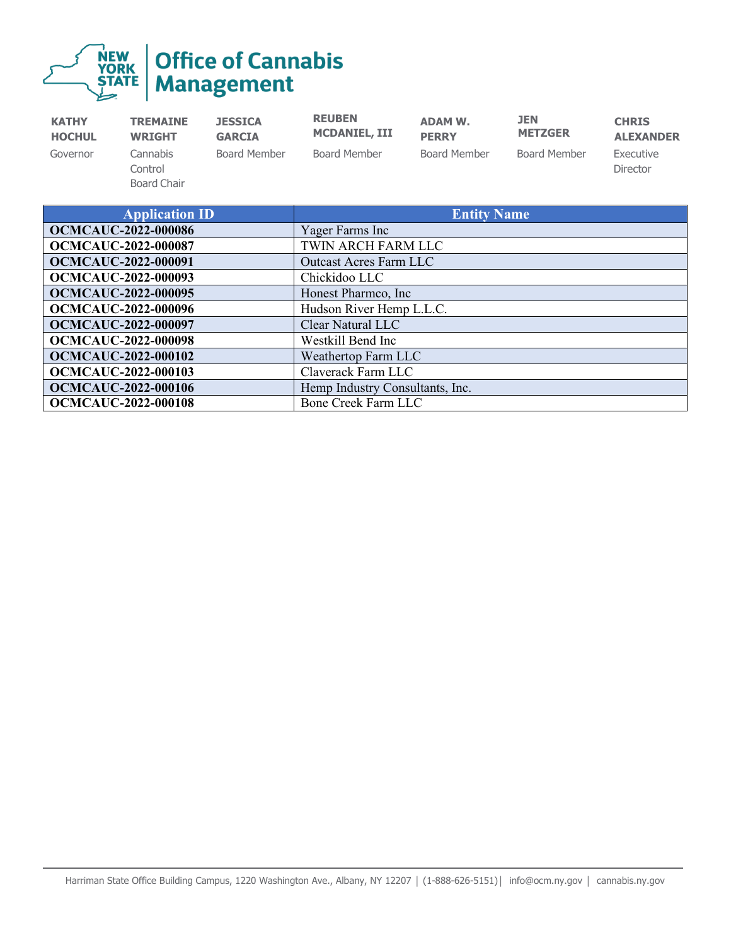|  | <b>THEW Office of Cannabis</b> |
|--|--------------------------------|
|--|--------------------------------|

| <b>KATHY</b>  | <b>TREMAINE</b>                    | <b>JESSICA</b> | <b>REUBEN</b>        | <b>ADAM W.</b>      | <b>JEN</b>          | <b>CHRIS</b>          |
|---------------|------------------------------------|----------------|----------------------|---------------------|---------------------|-----------------------|
| <b>HOCHUL</b> | <b>WRIGHT</b>                      | <b>GARCIA</b>  | <b>MCDANIEL, III</b> | <b>PERRY</b>        | <b>METZGER</b>      | <b>ALEXANDER</b>      |
| Governor      | Cannabis<br>Control<br>Board Chair | Board Member   | Board Member         | <b>Board Member</b> | <b>Board Member</b> | Executive<br>Director |

| <b>Application ID</b>      | <b>Entity Name</b>              |
|----------------------------|---------------------------------|
| <b>OCMCAUC-2022-000086</b> | Yager Farms Inc                 |
| <b>OCMCAUC-2022-000087</b> | TWIN ARCH FARM LLC              |
| <b>OCMCAUC-2022-000091</b> | <b>Outcast Acres Farm LLC</b>   |
| <b>OCMCAUC-2022-000093</b> | Chickidoo LLC                   |
| <b>OCMCAUC-2022-000095</b> | Honest Pharmco, Inc.            |
| <b>OCMCAUC-2022-000096</b> | Hudson River Hemp L.L.C.        |
| <b>OCMCAUC-2022-000097</b> | Clear Natural LLC               |
| <b>OCMCAUC-2022-000098</b> | Westkill Bend Inc               |
| <b>OCMCAUC-2022-000102</b> | Weathertop Farm LLC             |
| <b>OCMCAUC-2022-000103</b> | Claverack Farm LLC              |
| <b>OCMCAUC-2022-000106</b> | Hemp Industry Consultants, Inc. |
| <b>OCMCAUC-2022-000108</b> | Bone Creek Farm LLC             |